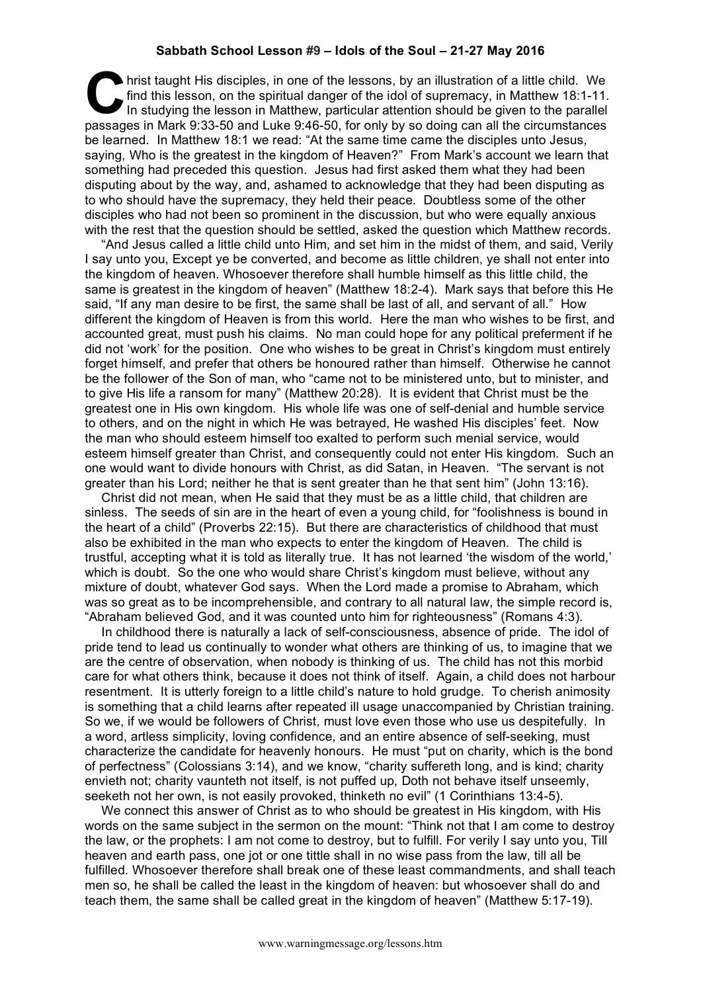## **Sabbath School Lesson #9 – Idols of the Soul – 21-27 May 2016**

hrist taught His disciples, in one of the lessons, by an illustration of a little child. We find this lesson, on the spiritual danger of the idol of supremacy, in Matthew 18:1-11. In studying the lesson in Matthew, particular attention should be given to the parallel **Park 6:43 and the staght His disciples, in one of the lessons, by an illustration of a little child. We find this lesson, on the spiritual danger of the idol of supremacy, in Matthew 18:1-11. In studying the lesson in Mat** be learned. In Matthew 18:1 we read: "At the same time came the disciples unto Jesus, saying, Who is the greatest in the kingdom of Heaven?" From Mark's account we learn that something had preceded this question. Jesus had first asked them what they had been disputing about by the way, and, ashamed to acknowledge that they had been disputing as to who should have the supremacy, they held their peace. Doubtless some of the other disciples who had not been so prominent in the discussion, but who were equally anxious with the rest that the question should be settled, asked the question which Matthew records.

"And Jesus called a little child unto Him, and set him in the midst of them, and said, Verily I say unto you, Except ye be converted, and become as little children, ye shall not enter into the kingdom of heaven. Whosoever therefore shall humble himself as this little child, the same is greatest in the kingdom of heaven" (Matthew 18:2-4). Mark says that before this He said, "If any man desire to be first, the same shall be last of all, and servant of all." How different the kingdom of Heaven is from this world. Here the man who wishes to be first, and accounted great, must push his claims. No man could hope for any political preferment if he did not 'work' for the position. One who wishes to be great in Christ's kingdom must entirely forget himself, and prefer that others be honoured rather than himself. Otherwise he cannot be the follower of the Son of man, who "came not to be ministered unto, but to minister, and to give His life a ransom for many" (Matthew 20:28). It is evident that Christ must be the greatest one in His own kingdom. His whole life was one of self-denial and humble service to others, and on the night in which He was betrayed, He washed His disciples' feet. Now the man who should esteem himself too exalted to perform such menial service, would esteem himself greater than Christ, and consequently could not enter His kingdom. Such an one would want to divide honours with Christ, as did Satan, in Heaven. "The servant is not greater than his Lord; neither he that is sent greater than he that sent him" (John 13:16).

Christ did not mean, when He said that they must be as a little child, that children are sinless. The seeds of sin are in the heart of even a young child, for "foolishness is bound in the heart of a child" (Proverbs 22:15). But there are characteristics of childhood that must also be exhibited in the man who expects to enter the kingdom of Heaven. The child is trustful, accepting what it is told as literally true. It has not learned 'the wisdom of the world,' which is doubt. So the one who would share Christ's kingdom must believe, without any mixture of doubt, whatever God says. When the Lord made a promise to Abraham, which was so great as to be incomprehensible, and contrary to all natural law, the simple record is, "Abraham believed God, and it was counted unto him for righteousness" (Romans 4:3).

In childhood there is naturally a lack of self-consciousness, absence of pride. The idol of pride tend to lead us continually to wonder what others are thinking of us, to imagine that we are the centre of observation, when nobody is thinking of us. The child has not this morbid care for what others think, because it does not think of itself. Again, a child does not harbour resentment. It is utterly foreign to a little child's nature to hold grudge. To cherish animosity is something that a child learns after repeated ill usage unaccompanied by Christian training. So we, if we would be followers of Christ, must love even those who use us despitefully. In a word, artless simplicity, loving confidence, and an entire absence of self-seeking, must characterize the candidate for heavenly honours. He must "put on charity, which is the bond of perfectness" (Colossians 3:14), and we know, "charity suffereth long, and is kind; charity envieth not; charity vaunteth not itself, is not puffed up, Doth not behave itself unseemly, seeketh not her own, is not easily provoked, thinketh no evil" (1 Corinthians 13:4-5).

We connect this answer of Christ as to who should be greatest in His kingdom, with His words on the same subject in the sermon on the mount: "Think not that I am come to destroy the law, or the prophets: I am not come to destroy, but to fulfill. For verily I say unto you, Till heaven and earth pass, one jot or one tittle shall in no wise pass from the law, till all be fulfilled. Whosoever therefore shall break one of these least commandments, and shall teach men so, he shall be called the least in the kingdom of heaven: but whosoever shall do and teach them, the same shall be called great in the kingdom of heaven" (Matthew 5:17-19).